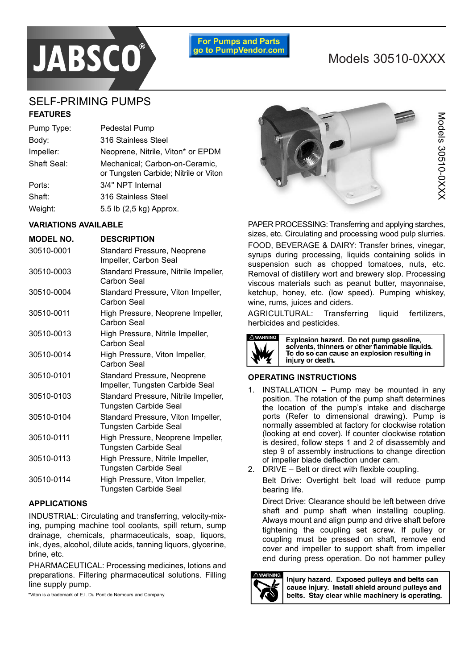

′umps anɑ ৷ go to PumpVendor.com

# SELF-PRIMING PUMPS **FEATURES**

| Pump Type:  | Pedestal Pump                                                           |
|-------------|-------------------------------------------------------------------------|
| Body:       | 316 Stainless Steel                                                     |
| Impeller:   | Neoprene, Nitrile, Viton* or EPDM                                       |
| Shaft Seal: | Mechanical; Carbon-on-Ceramic,<br>or Tungsten Carbide; Nitrile or Viton |
| Ports:      | 3/4" NPT Internal                                                       |
| Shaft:      | 316 Stainless Steel                                                     |
| Weight:     | 5.5 lb (2,5 kg) Approx.                                                 |
|             |                                                                         |

#### **VARIATIONS AVAILABLE**

| <b>MODEL NO.</b> | <b>DESCRIPTION</b>                                             |
|------------------|----------------------------------------------------------------|
| 30510-0001       | Standard Pressure, Neoprene<br>Impeller, Carbon Seal           |
| 30510-0003       | Standard Pressure, Nitrile Impeller,<br>Carbon Seal            |
| 30510-0004       | Standard Pressure, Viton Impeller,<br>Carbon Seal              |
| 30510-0011       | High Pressure, Neoprene Impeller,<br>Carbon Seal               |
| 30510-0013       | High Pressure, Nitrile Impeller,<br>Carbon Seal                |
| 30510-0014       | High Pressure, Viton Impeller,<br>Carbon Seal                  |
| 30510-0101       | Standard Pressure, Neoprene<br>Impeller, Tungsten Carbide Seal |
| 30510-0103       | Standard Pressure, Nitrile Impeller,<br>Tungsten Carbide Seal  |
| 30510-0104       | Standard Pressure, Viton Impeller,<br>Tungsten Carbide Seal    |
| 30510-0111       | High Pressure, Neoprene Impeller,<br>Tungsten Carbide Seal     |
| 30510-0113       | High Pressure, Nitrile Impeller,<br>Tungsten Carbide Seal      |
| 30510-0114       | High Pressure, Viton Impeller,<br><b>Tungsten Carbide Seal</b> |

#### **APPLICATIONS**

INDUSTRIAL: Circulating and transferring, velocity-mixing, pumping machine tool coolants, spill return, sump drainage, chemicals, pharmaceuticals, soap, liquors, ink, dyes, alcohol, dilute acids, tanning liquors, glycerine, brine, etc.

PHARMACEUTICAL: Processing medicines, lotions and preparations. Filtering pharmaceutical solutions. Filling line supply pump.

\*Viton is a trademark of E.I. Du Pont de Nemours and Company.



PAPER PROCESSING: Transferring and applying starches, sizes, etc. Circulating and processing wood pulp slurries. FOOD, BEVERAGE & DAIRY: Transfer brines, vinegar, syrups during processing, liquids containing solids in suspension such as chopped tomatoes, nuts, etc. Removal of distillery wort and brewery slop. Processing viscous materials such as peanut butter, mayonnaise, ketchup, honey, etc. (low speed). Pumping whiskey, wine, rums, juices and ciders.

AGRICULTURAL: Transferring liquid fertilizers, herbicides and pesticides.



Explosion hazard. Do not pump gasoline, solvents, thinners or other flammable liquids. To do so can cause an explosion resulting in injury or death.

#### **OPERATING INSTRUCTIONS**

- 1. INSTALLATION  $-$  Pump may be mounted in any position. The rotation of the pump shaft determines the location of the pumpís intake and discharge ports (Refer to dimensional drawing). Pump is normally assembled at factory for clockwise rotation (looking at end cover). If counter clockwise rotation is desired, follow steps 1 and 2 of disassembly and step 9 of assembly instructions to change direction of impeller blade deflection under cam.
- 2. DRIVE  $-$  Belt or direct with flexible coupling. Belt Drive: Overtight belt load will reduce pump bearing life.

Direct Drive: Clearance should be left between drive shaft and pump shaft when installing coupling. Always mount and align pump and drive shaft before tightening the coupling set screw. If pulley or coupling must be pressed on shaft, remove end cover and impeller to support shaft from impeller end during press operation. Do not hammer pulley



Injury hazard. Exposed pulleys and belts can cause injury. Install shield around pulleys and belts. Stay clear while machinery is operating.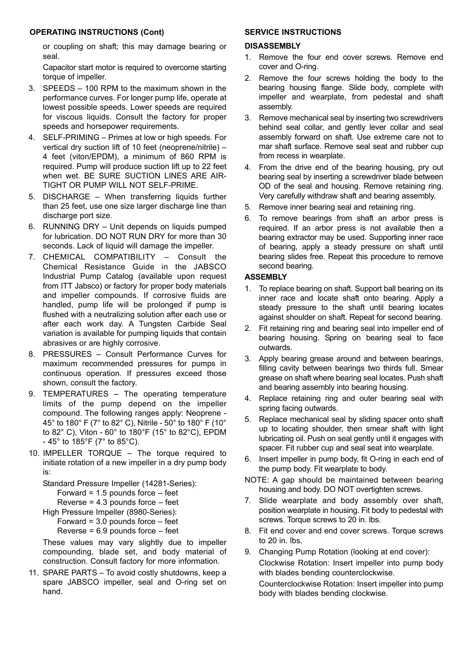#### **OPERATING INSTRUCTIONS (Cont)**

or coupling on shaft; this may damage bearing or seal.

Capacitor start motor is required to overcome starting torque of impeller.

- 3. SPEEDS  $-$  100 RPM to the maximum shown in the performance curves. For longer pump life, operate at lowest possible speeds. Lower speeds are required for viscous liquids. Consult the factory for proper speeds and horsepower requirements.
- 4. SELF-PRIMING Primes at low or high speeds. For vertical dry suction lift of 10 feet (neoprene/nitrile)  $-$ 4 feet (viton/EPDM), a minimum of 860 RPM is required. Pump will produce suction lift up to 22 feet when wet. BE SURE SUCTION LINES ARE AIR-TIGHT OR PUMP WILL NOT SELF-PRIME.
- 5. DISCHARGE  $-$  When transferring liquids further than 25 feet, use one size larger discharge line than discharge port size.
- 6. RUNNING DRY Unit depends on liquids pumped for lubrication. DO NOT RUN DRY for more than 30 seconds. Lack of liquid will damage the impeller.
- 7. CHEMICAL COMPATIBILITY Consult the Chemical Resistance Guide in the JABSCO Industrial Pump Catalog (available upon request from ITT Jabsco) or factory for proper body materials and impeller compounds. If corrosive fluids are handled, pump life will be prolonged if pump is flushed with a neutralizing solution after each use or after each work day. A Tungsten Carbide Seal variation is available for pumping liquids that contain abrasives or are highly corrosive.
- 8. PRESSURES Consult Performance Curves for maximum recommended pressures for pumps in continuous operation. If pressures exceed those shown, consult the factory.
- 9. TEMPERATURES The operating temperature limits of the pump depend on the impeller compound. The following ranges apply: Neoprene - 45° to 180° F (7° to 82° C), Nitrile - 50° to 180° F (10° to 82° C), Viton - 60° to 180°F (15° to 82°C), EPDM - 45° to 185°F (7° to 85°C).
- 10. IMPELLER TORQUE  $-$  The torque required to initiate rotation of a new impeller in a dry pump body is:

```
Standard Pressure Impeller (14281-Series):
```

```
Forward = 1.5 pounds force - feet
```

```
Reverse = 4.3 pounds force - feet
```
- High Pressure Impeller (8980-Series):
- Forward =  $3.0$  pounds force  $-$  feet

```
Reverse = 6.9 pounds force - feet
```
These values may vary slightly due to impeller compounding, blade set, and body material of construction. Consult factory for more information.

11. SPARE PARTS  $-$  To avoid costly shutdowns, keep a spare JABSCO impeller, seal and O-ring set on hand.

## **SERVICE INSTRUCTIONS**

### **DISASSEMBLY**

- 1. Remove the four end cover screws. Remove end cover and O-ring.
- 2. Remove the four screws holding the body to the bearing housing flange. Slide body, complete with impeller and wearplate, from pedestal and shaft assembly.
- 3. Remove mechanical seal by inserting two screwdrivers behind seal collar, and gently lever collar and seal assembly forward on shaft. Use extreme care not to mar shaft surface. Remove seal seat and rubber cup from recess in wearplate.
- 4. From the drive end of the bearing housing, pry out bearing seal by inserting a screwdriver blade between OD of the seal and housing. Remove retaining ring. Very carefully withdraw shaft and bearing assembly.
- 5. Remove inner bearing seal and retaining ring.
- 6. To remove bearings from shaft an arbor press is required. If an arbor press is not available then a bearing extractor may be used. Supporting inner race of bearing, apply a steady pressure on shaft until bearing slides free. Repeat this procedure to remove second bearing.

#### **ASSEMBLY**

- 1. To replace bearing on shaft. Support ball bearing on its inner race and locate shaft onto bearing. Apply a steady pressure to the shaft until bearing locates against shoulder on shaft. Repeat for second bearing.
- 2. Fit retaining ring and bearing seal into impeller end of bearing housing. Spring on bearing seal to face outwards.
- 3. Apply bearing grease around and between bearings, filling cavity between bearings two thirds full. Smear grease on shaft where bearing seal locates. Push shaft and bearing assembly into bearing housing.
- 4. Replace retaining ring and outer bearing seal with spring facing outwards.
- 5. Replace mechanical seal by sliding spacer onto shaft up to locating shoulder, then smear shaft with light lubricating oil. Push on seal gently until it engages with spacer. Fit rubber cup and seal seat into wearplate.
- 6. Insert impeller in pump body, fit O-ring in each end of the pump body. Fit wearplate to body.
- NOTE: A gap should be maintained between bearing housing and body. DO NOT overtighten screws.
- 7. Slide wearplate and body assembly over shaft, position wearplate in housing. Fit body to pedestal with screws. Torque screws to 20 in. lbs.
- 8. Fit end cover and end cover screws. Torque screws to 20 in. lbs.
- 9. Changing Pump Rotation (looking at end cover): Clockwise Rotation: Insert impeller into pump body with blades bending counterclockwise. Counterclockwise Rotation: Insert impeller into pump body with blades bending clockwise.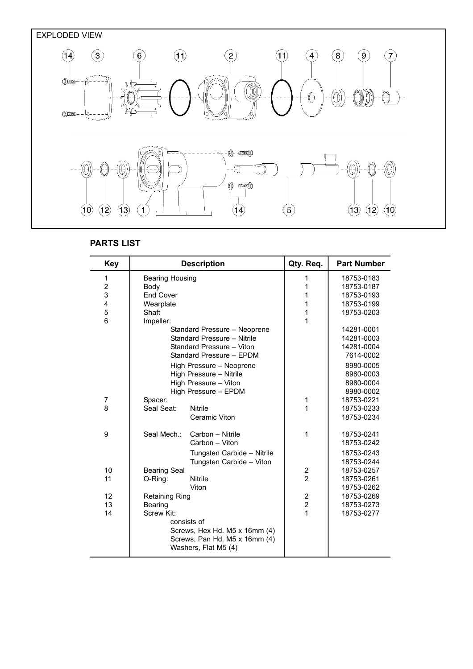



## **PARTS LIST**

| <b>Key</b>              | <b>Description</b>            |                             | Qty. Req.      | <b>Part Number</b> |  |
|-------------------------|-------------------------------|-----------------------------|----------------|--------------------|--|
| 1                       | <b>Bearing Housing</b>        |                             | 1              | 18753-0183         |  |
| $\overline{\mathbf{c}}$ | Body                          |                             | 1              | 18753-0187         |  |
| 3                       | <b>End Cover</b>              |                             | 1              | 18753-0193         |  |
| 4                       | Wearplate                     |                             | 1              | 18753-0199         |  |
| 5                       | Shaft                         |                             | 1              | 18753-0203         |  |
| 6                       | Impeller:                     |                             | 1              |                    |  |
|                         | Standard Pressure - Neoprene  |                             |                | 14281-0001         |  |
|                         |                               | Standard Pressure - Nitrile |                | 14281-0003         |  |
|                         |                               | Standard Pressure - Viton   |                | 14281-0004         |  |
|                         |                               | Standard Pressure - EPDM    |                | 7614-0002          |  |
|                         |                               | High Pressure - Neoprene    |                | 8980-0005          |  |
|                         |                               | High Pressure - Nitrile     |                | 8980-0003          |  |
|                         |                               | High Pressure - Viton       |                | 8980-0004          |  |
|                         |                               | High Pressure - EPDM        |                | 8980-0002          |  |
| 7                       | Spacer:                       |                             | 1              | 18753-0221         |  |
| 8                       | Seal Seat:                    | <b>Nitrile</b>              | 1              | 18753-0233         |  |
|                         |                               | Ceramic Viton               |                | 18753-0234         |  |
| 9                       | Seal Mech.:                   | Carbon - Nitrile            | 1              | 18753-0241         |  |
|                         |                               | Carbon - Viton              |                | 18753-0242         |  |
|                         |                               | Tungsten Carbide - Nitrile  |                | 18753-0243         |  |
|                         |                               | Tungsten Carbide - Viton    |                | 18753-0244         |  |
| 10                      | <b>Bearing Seal</b>           |                             | 2              | 18753-0257         |  |
| 11                      | O-Ring:                       | <b>Nitrile</b>              | $\overline{2}$ | 18753-0261         |  |
|                         |                               | Viton                       |                | 18753-0262         |  |
| 12                      | <b>Retaining Ring</b>         |                             | $\overline{2}$ | 18753-0269         |  |
| 13                      | Bearing                       |                             | $\overline{2}$ | 18753-0273         |  |
| 14                      | Screw Kit:                    |                             | $\overline{1}$ | 18753-0277         |  |
|                         |                               | consists of                 |                |                    |  |
|                         | Screws, Hex Hd. M5 x 16mm (4) |                             |                |                    |  |
|                         | Screws, Pan Hd. M5 x 16mm (4) |                             |                |                    |  |
|                         | Washers, Flat M5 (4)          |                             |                |                    |  |
|                         |                               |                             |                |                    |  |